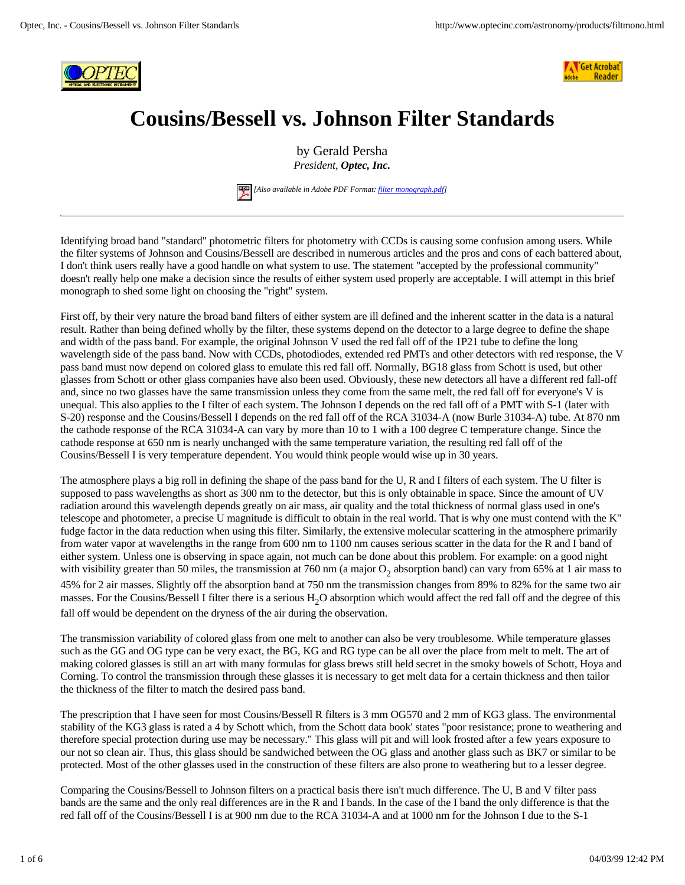



## **Cousins/Bessell vs. Johnson Filter Standards**

by Gerald Persha *President, Optec, Inc.*



 *[Also available in Adobe PDF Format: filter monograph.pdf]*

Identifying broad band "standard" photometric filters for photometry with CCDs is causing some confusion among users. While the filter systems of Johnson and Cousins/Bessell are described in numerous articles and the pros and cons of each battered about, I don't think users really have a good handle on what system to use. The statement "accepted by the professional community" doesn't really help one make a decision since the results of either system used properly are acceptable. I will attempt in this brief monograph to shed some light on choosing the "right" system.

First off, by their very nature the broad band filters of either system are ill defined and the inherent scatter in the data is a natural result. Rather than being defined wholly by the filter, these systems depend on the detector to a large degree to define the shape and width of the pass band. For example, the original Johnson V used the red fall off of the 1P21 tube to define the long wavelength side of the pass band. Now with CCDs, photodiodes, extended red PMTs and other detectors with red response, the V pass band must now depend on colored glass to emulate this red fall off. Normally, BG18 glass from Schott is used, but other glasses from Schott or other glass companies have also been used. Obviously, these new detectors all have a different red fall-off and, since no two glasses have the same transmission unless they come from the same melt, the red fall off for everyone's V is unequal. This also applies to the I filter of each system. The Johnson I depends on the red fall off of a PMT with S-1 (later with S-20) response and the Cousins/Bessell I depends on the red fall off of the RCA 31034-A (now Burle 31034-A) tube. At 870 nm the cathode response of the RCA 31034-A can vary by more than 10 to 1 with a 100 degree C temperature change. Since the cathode response at 650 nm is nearly unchanged with the same temperature variation, the resulting red fall off of the Cousins/Bessell I is very temperature dependent. You would think people would wise up in 30 years.

The atmosphere plays a big roll in defining the shape of the pass band for the U, R and I filters of each system. The U filter is supposed to pass wavelengths as short as 300 nm to the detector, but this is only obtainable in space. Since the amount of UV radiation around this wavelength depends greatly on air mass, air quality and the total thickness of normal glass used in one's telescope and photometer, a precise U magnitude is difficult to obtain in the real world. That is why one must contend with the K" fudge factor in the data reduction when using this filter. Similarly, the extensive molecular scattering in the atmosphere primarily from water vapor at wavelengths in the range from 600 nm to 1100 nm causes serious scatter in the data for the R and I band of either system. Unless one is observing in space again, not much can be done about this problem. For example: on a good night with visibility greater than 50 miles, the transmission at 760 nm (a major  $O_2$  absorption band) can vary from 65% at 1 air mass to 45% for 2 air masses. Slightly off the absorption band at 750 nm the transmission changes from 89% to 82% for the same two air masses. For the Cousins/Bessell I filter there is a serious H<sub>2</sub>O absorption which would affect the red fall off and the degree of this fall off would be dependent on the dryness of the air during the observation.

The transmission variability of colored glass from one melt to another can also be very troublesome. While temperature glasses such as the GG and OG type can be very exact, the BG, KG and RG type can be all over the place from melt to melt. The art of making colored glasses is still an art with many formulas for glass brews still held secret in the smoky bowels of Schott, Hoya and Corning. To control the transmission through these glasses it is necessary to get melt data for a certain thickness and then tailor the thickness of the filter to match the desired pass band.

The prescription that I have seen for most Cousins/Bessell R filters is 3 mm OG570 and 2 mm of KG3 glass. The environmental stability of the KG3 glass is rated a 4 by Schott which, from the Schott data book' states "poor resistance; prone to weathering and therefore special protection during use may be necessary." This glass will pit and will look frosted after a few years exposure to our not so clean air. Thus, this glass should be sandwiched between the OG glass and another glass such as BK7 or similar to be protected. Most of the other glasses used in the construction of these filters are also prone to weathering but to a lesser degree.

Comparing the Cousins/Bessell to Johnson filters on a practical basis there isn't much difference. The U, B and V filter pass bands are the same and the only real differences are in the R and I bands. In the case of the I band the only difference is that the red fall off of the Cousins/Bessell I is at 900 nm due to the RCA 31034-A and at 1000 nm for the Johnson I due to the S-1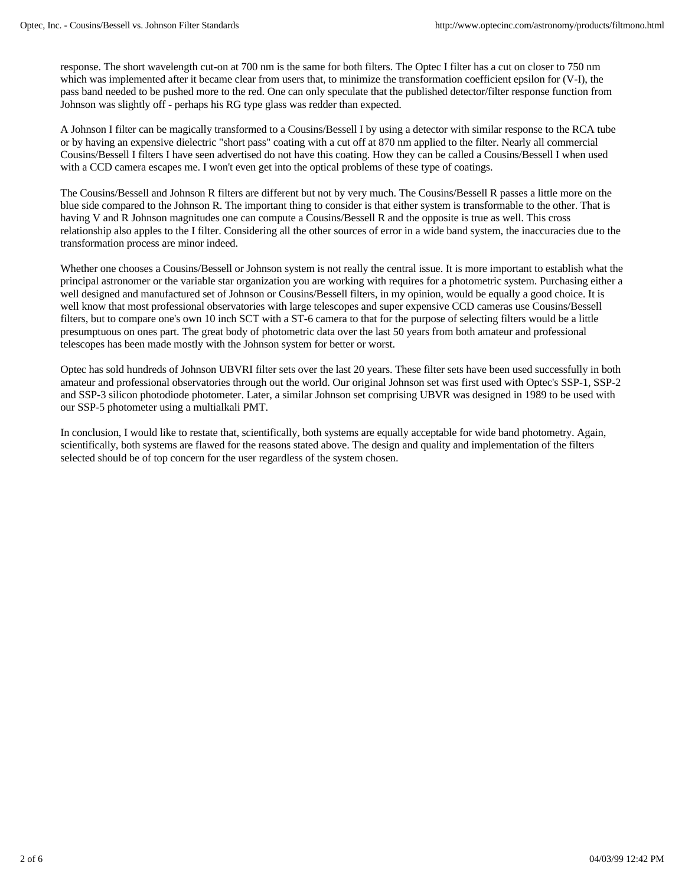response. The short wavelength cut-on at 700 nm is the same for both filters. The Optec I filter has a cut on closer to 750 nm which was implemented after it became clear from users that, to minimize the transformation coefficient epsilon for (V-I), the pass band needed to be pushed more to the red. One can only speculate that the published detector/filter response function from Johnson was slightly off - perhaps his RG type glass was redder than expected.

A Johnson I filter can be magically transformed to a Cousins/Bessell I by using a detector with similar response to the RCA tube or by having an expensive dielectric "short pass" coating with a cut off at 870 nm applied to the filter. Nearly all commercial Cousins/Bessell I filters I have seen advertised do not have this coating. How they can be called a Cousins/Bessell I when used with a CCD camera escapes me. I won't even get into the optical problems of these type of coatings.

The Cousins/Bessell and Johnson R filters are different but not by very much. The Cousins/Bessell R passes a little more on the blue side compared to the Johnson R. The important thing to consider is that either system is transformable to the other. That is having V and R Johnson magnitudes one can compute a Cousins/Bessell R and the opposite is true as well. This cross relationship also apples to the I filter. Considering all the other sources of error in a wide band system, the inaccuracies due to the transformation process are minor indeed.

Whether one chooses a Cousins/Bessell or Johnson system is not really the central issue. It is more important to establish what the principal astronomer or the variable star organization you are working with requires for a photometric system. Purchasing either a well designed and manufactured set of Johnson or Cousins/Bessell filters, in my opinion, would be equally a good choice. It is well know that most professional observatories with large telescopes and super expensive CCD cameras use Cousins/Bessell filters, but to compare one's own 10 inch SCT with a ST-6 camera to that for the purpose of selecting filters would be a little presumptuous on ones part. The great body of photometric data over the last 50 years from both amateur and professional telescopes has been made mostly with the Johnson system for better or worst.

Optec has sold hundreds of Johnson UBVRI filter sets over the last 20 years. These filter sets have been used successfully in both amateur and professional observatories through out the world. Our original Johnson set was first used with Optec's SSP-1, SSP-2 and SSP-3 silicon photodiode photometer. Later, a similar Johnson set comprising UBVR was designed in 1989 to be used with our SSP-5 photometer using a multialkali PMT.

In conclusion, I would like to restate that, scientifically, both systems are equally acceptable for wide band photometry. Again, scientifically, both systems are flawed for the reasons stated above. The design and quality and implementation of the filters selected should be of top concern for the user regardless of the system chosen.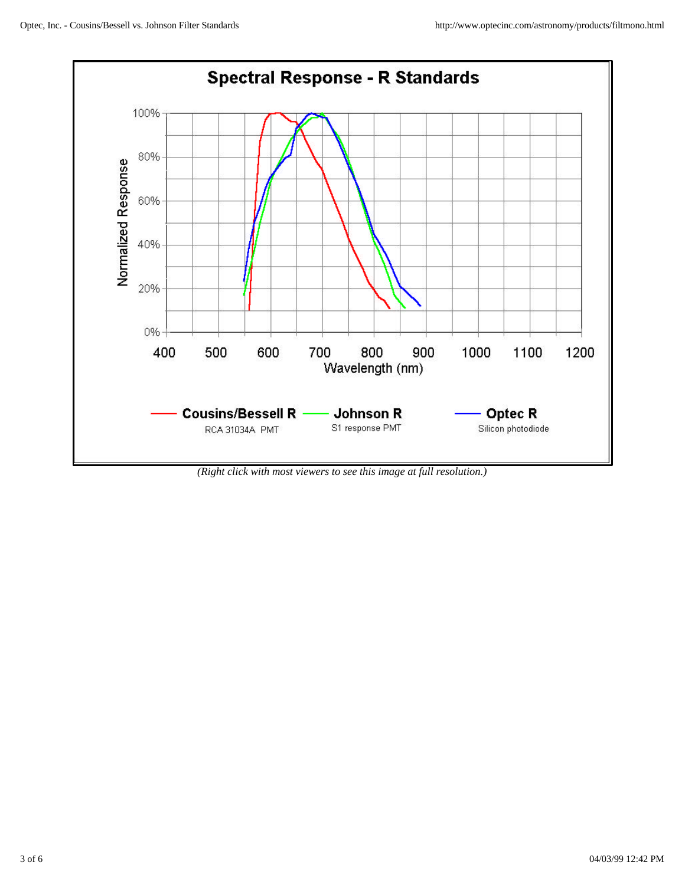

*(Right click with most viewers to see this image at full resolution.)*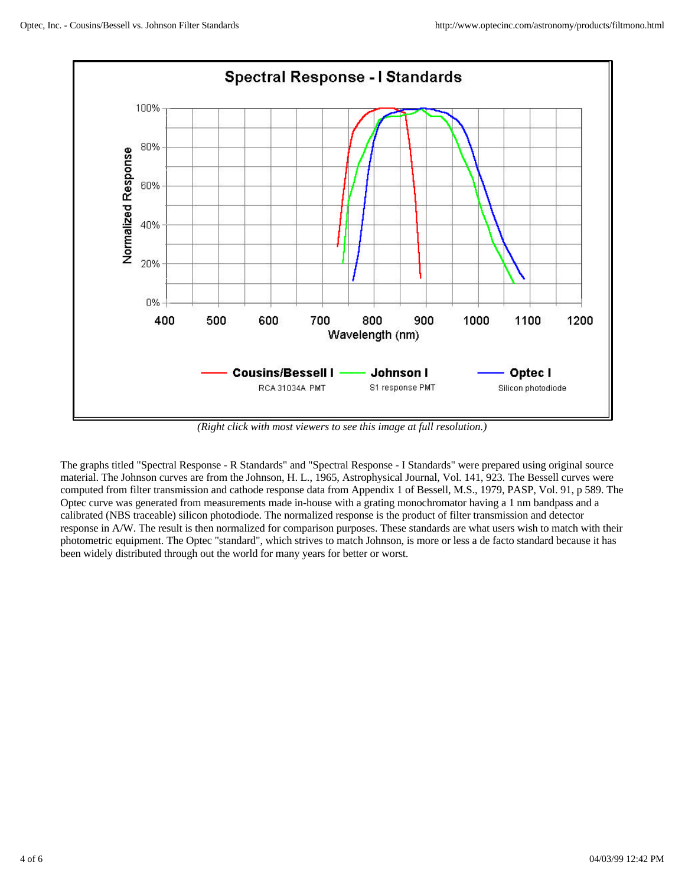

*(Right click with most viewers to see this image at full resolution.)*

The graphs titled "Spectral Response - R Standards" and "Spectral Response - I Standards" were prepared using original source material. The Johnson curves are from the Johnson, H. L., 1965, Astrophysical Journal, Vol. 141, 923. The Bessell curves were computed from filter transmission and cathode response data from Appendix 1 of Bessell, M.S., 1979, PASP, Vol. 91, p 589. The Optec curve was generated from measurements made in-house with a grating monochromator having a 1 nm bandpass and a calibrated (NBS traceable) silicon photodiode. The normalized response is the product of filter transmission and detector response in A/W. The result is then normalized for comparison purposes. These standards are what users wish to match with their photometric equipment. The Optec "standard", which strives to match Johnson, is more or less a de facto standard because it has been widely distributed through out the world for many years for better or worst.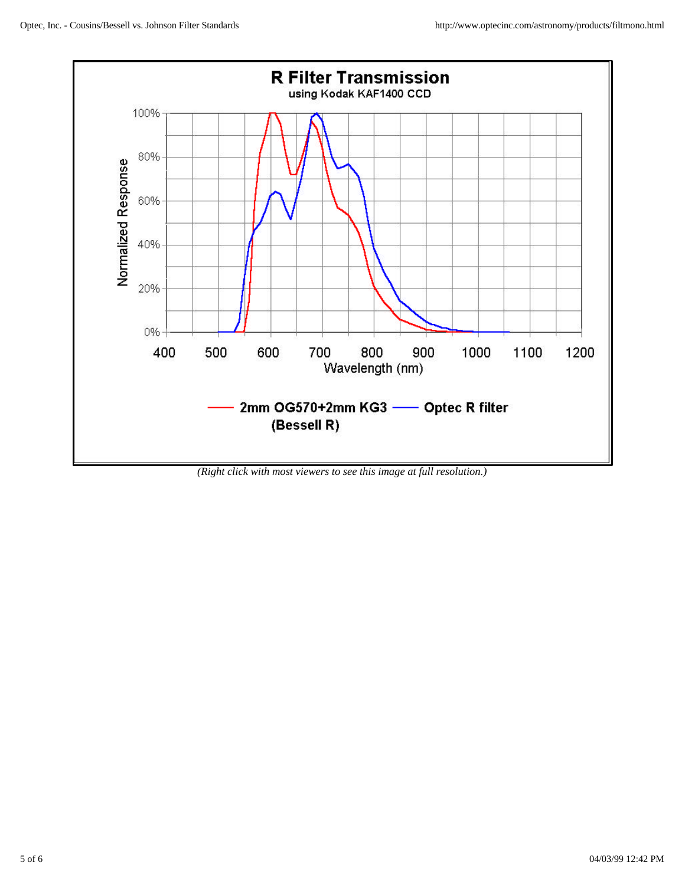

*(Right click with most viewers to see this image at full resolution.)*